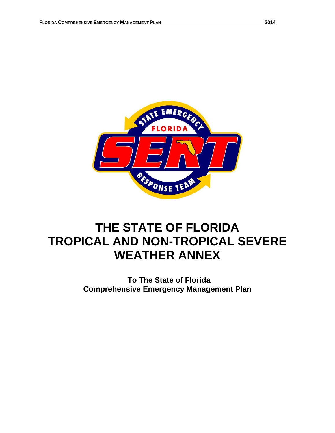

# **THE STATE OF FLORIDA TROPICAL AND NON-TROPICAL SEVERE WEATHER ANNEX**

**To The State of Florida Comprehensive Emergency Management Plan**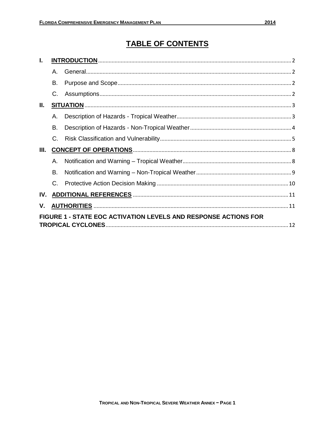# **TABLE OF CONTENTS**

| L.                                                              |              |  |  |  |  |
|-----------------------------------------------------------------|--------------|--|--|--|--|
|                                                                 | $\mathsf{A}$ |  |  |  |  |
|                                                                 | В.           |  |  |  |  |
|                                                                 | C.           |  |  |  |  |
| II.                                                             |              |  |  |  |  |
|                                                                 | Α.           |  |  |  |  |
|                                                                 | В.           |  |  |  |  |
|                                                                 | $C_{\cdot}$  |  |  |  |  |
| Ш.                                                              |              |  |  |  |  |
|                                                                 | Α.           |  |  |  |  |
|                                                                 | В.           |  |  |  |  |
|                                                                 | $C_{\cdot}$  |  |  |  |  |
| IV.                                                             |              |  |  |  |  |
| V.                                                              |              |  |  |  |  |
| FIGURE 1 - STATE EOC ACTIVATION LEVELS AND RESPONSE ACTIONS FOR |              |  |  |  |  |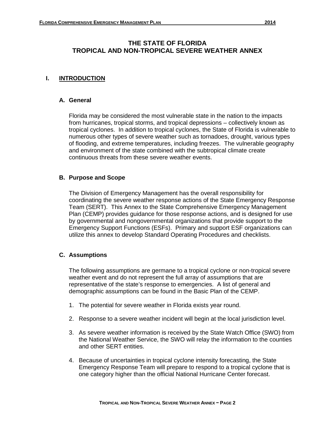# **THE STATE OF FLORIDA TROPICAL AND NON-TROPICAL SEVERE WEATHER ANNEX**

# **I. INTRODUCTION**

#### **A. General**

Florida may be considered the most vulnerable state in the nation to the impacts from hurricanes, tropical storms, and tropical depressions – collectively known as tropical cyclones. In addition to tropical cyclones, the State of Florida is vulnerable to numerous other types of severe weather such as tornadoes, drought, various types of flooding, and extreme temperatures, including freezes. The vulnerable geography and environment of the state combined with the subtropical climate create continuous threats from these severe weather events.

#### **B. Purpose and Scope**

The Division of Emergency Management has the overall responsibility for coordinating the severe weather response actions of the State Emergency Response Team (SERT). This Annex to the State Comprehensive Emergency Management Plan (CEMP) provides guidance for those response actions, and is designed for use by governmental and nongovernmental organizations that provide support to the Emergency Support Functions (ESFs). Primary and support ESF organizations can utilize this annex to develop Standard Operating Procedures and checklists.

#### **C. Assumptions**

The following assumptions are germane to a tropical cyclone or non-tropical severe weather event and do not represent the full array of assumptions that are representative of the state's response to emergencies. A list of general and demographic assumptions can be found in the Basic Plan of the CEMP.

- 1. The potential for severe weather in Florida exists year round.
- 2. Response to a severe weather incident will begin at the local jurisdiction level.
- 3. As severe weather information is received by the State Watch Office (SWO) from the National Weather Service, the SWO will relay the information to the counties and other SERT entities.
- 4. Because of uncertainties in tropical cyclone intensity forecasting, the State Emergency Response Team will prepare to respond to a tropical cyclone that is one category higher than the official National Hurricane Center forecast.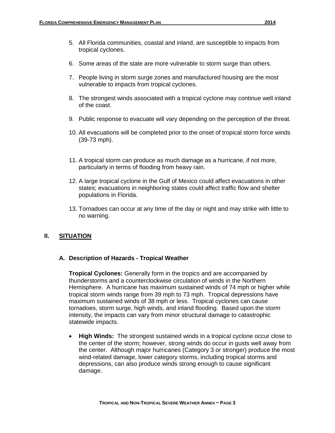- 5. All Florida communities, coastal and inland, are susceptible to impacts from tropical cyclones.
- 6. Some areas of the state are more vulnerable to storm surge than others.
- 7. People living in storm surge zones and manufactured housing are the most vulnerable to impacts from tropical cyclones.
- 8. The strongest winds associated with a tropical cyclone may continue well inland of the coast.
- 9. Public response to evacuate will vary depending on the perception of the threat.
- 10. All evacuations will be completed prior to the onset of tropical storm force winds (39-73 mph).
- 11. A tropical storm can produce as much damage as a hurricane, if not more, particularly in terms of flooding from heavy rain.
- 12. A large tropical cyclone in the Gulf of Mexico could affect evacuations in other states; evacuations in neighboring states could affect traffic flow and shelter populations in Florida.
- 13. Tornadoes can occur at any time of the day or night and may strike with little to no warning.

#### **II. SITUATION**

#### **A. Description of Hazards - Tropical Weather**

**Tropical Cyclones:** Generally form in the tropics and are accompanied by thunderstorms and a counterclockwise circulation of winds in the Northern Hemisphere. A hurricane has maximum sustained winds of 74 mph or higher while tropical storm winds range from 39 mph to 73 mph. Tropical depressions have maximum sustained winds of 38 mph or less. Tropical cyclones can cause tornadoes, storm surge, high winds, and inland flooding. Based upon the storm intensity, the impacts can vary from minor structural damage to catastrophic statewide impacts.

• **High Winds:** The strongest sustained winds in a tropical cyclone occur close to the center of the storm; however, strong winds do occur in gusts well away from the center. Although major hurricanes (Category 3 or stronger) produce the most wind-related damage, lower category storms, including tropical storms and depressions, can also produce winds strong enough to cause significant damage.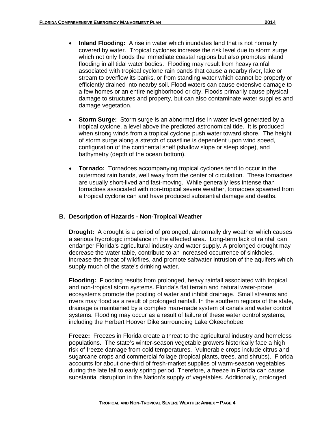- **Inland Flooding:** A rise in water which inundates land that is not normally covered by water. Tropical cyclones increase the risk level due to storm surge which not only floods the immediate coastal regions but also promotes inland flooding in all tidal water bodies. Flooding may result from heavy rainfall associated with tropical cyclone rain bands that cause a nearby river, lake or stream to overflow its banks, or from standing water which cannot be properly or efficiently drained into nearby soil. Flood waters can cause extensive damage to a few homes or an entire neighborhood or city. Floods primarily cause physical damage to structures and property, but can also contaminate water supplies and damage vegetation.
- **Storm Surge:** Storm surge is an abnormal rise in water level generated by a tropical cyclone, a level above the predicted astronomical tide. It is produced when strong winds from a tropical cyclone push water toward shore. The height of storm surge along a stretch of coastline is dependent upon wind speed, configuration of the continental shelf (shallow slope or steep slope), and bathymetry (depth of the ocean bottom).
- **Tornado:** Tornadoes accompanying tropical cyclones tend to occur in the outermost rain bands, well away from the center of circulation. These tornadoes are usually short-lived and fast-moving. While generally less intense than tornadoes associated with non-tropical severe weather, tornadoes spawned from a tropical cyclone can and have produced substantial damage and deaths.

#### **B. Description of Hazards - Non-Tropical Weather**

**Drought:** A drought is a period of prolonged, abnormally dry weather which causes a serious hydrologic imbalance in the affected area. Long-term lack of rainfall can endanger Florida's agricultural industry and water supply. A prolonged drought may decrease the water table, contribute to an increased occurrence of sinkholes, increase the threat of wildfires, and promote saltwater intrusion of the aquifers which supply much of the state's drinking water.

**Flooding:** Flooding results from prolonged, heavy rainfall associated with tropical and non-tropical storm systems. Florida's flat terrain and natural water-prone ecosystems promote the pooling of water and inhibit drainage. Small streams and rivers may flood as a result of prolonged rainfall. In the southern regions of the state, drainage is maintained by a complex man-made system of canals and water control systems. Flooding may occur as a result of failure of these water control systems, including the Herbert Hoover Dike surrounding Lake Okeechobee.

**Freeze:** Freezes in Florida create a threat to the agricultural industry and homeless populations. The state's winter-season vegetable growers historically face a high risk of freeze damage from cold temperatures. Vulnerable crops include citrus and sugarcane crops and commercial foliage (tropical plants, trees, and shrubs). Florida accounts for about one-third of fresh-market supplies of warm-season vegetables during the late fall to early spring period. Therefore, a freeze in Florida can cause substantial disruption in the Nation's supply of vegetables. Additionally, prolonged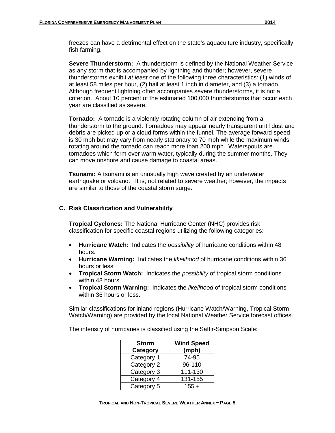freezes can have a detrimental effect on the state's aquaculture industry, specifically fish farming.

**Severe Thunderstorm:** A thunderstorm is defined by the National Weather Service as any storm that is accompanied by lightning and thunder; however, severe thunderstorms exhibit *at least* one of the following three characteristics: (1) winds of at least 58 miles per hour, (2) hail at least 1 inch in diameter, and (3) a tornado. Although frequent lightning often accompanies severe thunderstorms, it is not a criterion. About 10 percent of the estimated 100,000 thunderstorms that occur each year are classified as severe.

**Tornado:** A tornado is a violently rotating column of air extending from a thunderstorm to the ground. Tornadoes may appear nearly transparent until dust and debris are picked up or a cloud forms within the funnel. The average forward speed is 30 mph but may vary from nearly stationary to 70 mph while the maximum winds rotating around the tornado can reach more than 200 mph. Waterspouts are tornadoes which form over warm water, typically during the summer months. They can move onshore and cause damage to coastal areas.

**Tsunami:** A tsunami is an unusually high wave created by an underwater earthquake or volcano. It is, not related to severe weather; however, the impacts are similar to those of the coastal storm surge.

#### **C. Risk Classification and Vulnerability**

**Tropical Cyclones:** The National Hurricane Center (NHC) provides risk classification for specific coastal regions utilizing the following categories:

- **Hurricane Watch:** Indicates the *possibility* of hurricane conditions within 48 hours.
- **Hurricane Warning:** Indicates the *likelihood* of hurricane conditions within 36 hours or less.
- **Tropical Storm Watch:** Indicates the *possibility* of tropical storm conditions within 48 hours.
- **Tropical Storm Warning:** Indicates the *likelihood* of tropical storm conditions within 36 hours or less.

Similar classifications for inland regions (Hurricane Watch/Warning, Tropical Storm Watch/Warning) are provided by the local National Weather Service forecast offices.

The intensity of hurricanes is classified using the Saffir-Simpson Scale:

| <b>Storm</b><br><b>Category</b> | <b>Wind Speed</b><br>(mph) |
|---------------------------------|----------------------------|
| Category 1                      | 74-95                      |
| Category 2                      | 96-110                     |
| Category 3                      | 111-130                    |
| Category 4                      | 131-155                    |
| Category 5                      | $155 +$                    |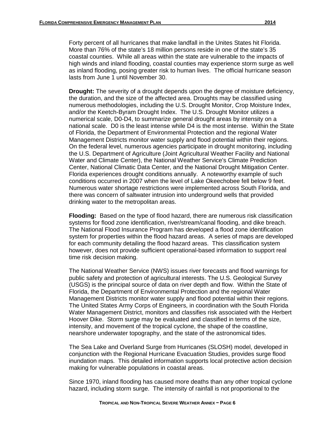Forty percent of all hurricanes that make landfall in the Unites States hit Florida. More than 76% of the state's 18 million persons reside in one of the state's 35 coastal counties. While all areas within the state are vulnerable to the impacts of high winds and inland flooding, coastal counties may experience storm surge as well as inland flooding, posing greater risk to human lives. The official hurricane season lasts from June 1 until November 30.

**Drought:** The severity of a drought depends upon the degree of moisture deficiency, the duration, and the size of the affected area. Droughts may be classified using numerous methodologies, including the U.S. Drought Monitor, Crop Moisture Index, and/or the Keetch-Byram Drought Index. The U.S. Drought Monitor utilizes a numerical scale, D0-D4, to summarize general drought areas by intensity on a national scale. D0 is the least intense while D4 is the most intense. Within the State of Florida, the Department of Environmental Protection and the regional Water Management Districts monitor water supply and flood potential within their regions. On the federal level, numerous agencies participate in drought monitoring, including the U.S. Department of Agriculture (Joint Agricultural Weather Facility and National Water and Climate Center), the National Weather Service's Climate Prediction Center, National Climatic Data Center, and the National Drought Mitigation Center. Florida experiences drought conditions annually. A noteworthy example of such conditions occurred in 2007 when the level of Lake Okeechobee fell below 9 feet. Numerous water shortage restrictions were implemented across South Florida, and there was concern of saltwater intrusion into underground wells that provided drinking water to the metropolitan areas.

**Flooding:** Based on the type of flood hazard, there are numerous risk classification systems for flood zone identification, river/stream/canal flooding, and dike breach. The National Flood Insurance Program has developed a flood zone identification system for properties within the flood hazard areas. A series of maps are developed for each community detailing the flood hazard areas. This classification system however, does not provide sufficient operational-based information to support real time risk decision making.

The National Weather Service (NWS) issues river forecasts and flood warnings for public safety and protection of agricultural interests. The U.S. Geological Survey (USGS) is the principal source of data on river depth and flow. Within the State of Florida, the Department of Environmental Protection and the regional Water Management Districts monitor water supply and flood potential within their regions. The United States Army Corps of Engineers, in coordination with the South Florida Water Management District, monitors and classifies risk associated with the Herbert Hoover Dike. Storm surge may be evaluated and classified in terms of the size, intensity, and movement of the tropical cyclone, the shape of the coastline, nearshore underwater topography, and the state of the astronomical tides.

The Sea Lake and Overland Surge from Hurricanes (SLOSH) model, developed in conjunction with the Regional Hurricane Evacuation Studies, provides surge flood inundation maps. This detailed information supports local protective action decision making for vulnerable populations in coastal areas.

Since 1970, inland flooding has caused more deaths than any other tropical cyclone hazard, including storm surge. The intensity of rainfall is not proportional to the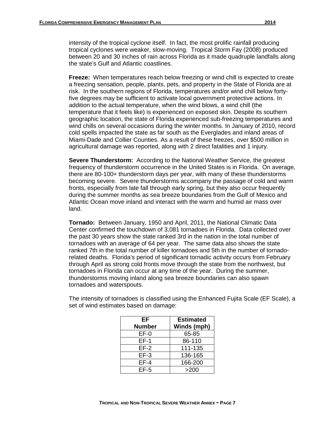intensity of the tropical cyclone itself. In fact, the most prolific rainfall producing tropical cyclones were weaker, slow-moving. Tropical Storm Fay (2008) produced between 20 and 30 inches of rain across Florida as it made quadruple landfalls along the state's Gulf and Atlantic coastlines.

**Freeze:** When temperatures reach below freezing or wind chill is expected to create a freezing sensation, people, plants, pets, and property in the State of Florida are at risk. In the southern regions of Florida, temperatures and/or wind chill below fortyfive degrees may be sufficient to activate local government protective actions. In addition to the actual temperature, when the wind blows, a wind chill (the temperature that it feels like) is experienced on exposed skin. Despite its southern geographic location, the state of Florida experienced sub-freezing temperatures and wind chills on several occasions during the winter months. In January of 2010, record cold spells impacted the state as far south as the Everglades and inland areas of Miami-Dade and Collier Counties. As a result of these freezes, over \$500 million in agricultural damage was reported, along with 2 direct fatalities and 1 injury.

**Severe Thunderstorm:** According to the National Weather Service, the greatest frequency of thunderstorm occurrence in the United States is in Florida. On average, there are 80-100+ thunderstorm days per year, with many of these thunderstorms becoming severe. Severe thunderstorms accompany the passage of cold and warm fronts, especially from late fall through early spring, but they also occur frequently during the summer months as sea breeze boundaries from the Gulf of Mexico and Atlantic Ocean move inland and interact with the warm and humid air mass over land.

**Tornado:** Between January, 1950 and April, 2011, the National Climatic Data Center confirmed the touchdown of 3,081 tornadoes in Florida. Data collected over the past 30 years show the state ranked 3rd in the nation in the total number of tornadoes with an average of 64 per year. The same data also shows the state ranked 7th in the total number of killer tornadoes and 5th in the number of tornadorelated deaths. Florida's period of significant tornadic activity occurs from February through April as strong cold fronts move through the state from the northwest, but tornadoes in Florida can occur at any time of the year. During the summer, thunderstorms moving inland along sea breeze boundaries can also spawn tornadoes and waterspouts.

| The intensity of tornadoes is classified using the Enhanced Fujita Scale (EF Scale), a |
|----------------------------------------------------------------------------------------|
| set of wind estimates based on damage:                                                 |
|                                                                                        |

| ΕF            | <b>Estimated</b> |
|---------------|------------------|
| <b>Number</b> | Winds (mph)      |
| $EF-0$        | 65-85            |
| EF-1          | 86-110           |
| $EF-2$        | 111-135          |
| $EF-3$        | 136-165          |
| $EF-4$        | 166-200          |
| $EF-5$        | >200             |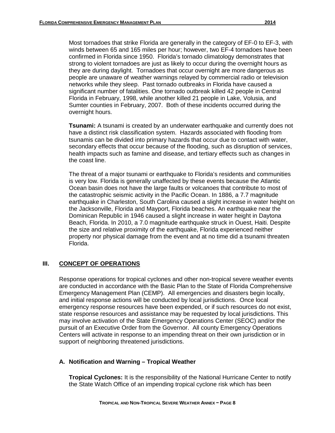Most tornadoes that strike Florida are generally in the category of EF-0 to EF-3, with winds between 65 and 165 miles per hour; however, two EF-4 tornadoes have been confirmed in Florida since 1950. Florida's tornado climatology demonstrates that strong to violent tornadoes are just as likely to occur during the overnight hours as they are during daylight. Tornadoes that occur overnight are more dangerous as people are unaware of weather warnings relayed by commercial radio or television networks while they sleep. Past tornado outbreaks in Florida have caused a significant number of fatalities. One tornado outbreak killed 42 people in Central Florida in February, 1998, while another killed 21 people in Lake, Volusia, and Sumter counties in February, 2007. Both of these incidents occurred during the overnight hours.

**Tsunami:** A tsunami is created by an underwater earthquake and currently does not have a distinct risk classification system. Hazards associated with flooding from tsunamis can be divided into primary hazards that occur due to contact with water, secondary effects that occur because of the flooding, such as disruption of services, health impacts such as famine and disease, and tertiary effects such as changes in the coast line.

The threat of a major tsunami or earthquake to Florida's residents and communities is very low. Florida is generally unaffected by these events because the Atlantic Ocean basin does not have the large faults or volcanoes that contribute to most of the catastrophic seismic activity in the Pacific Ocean. In 1886, a 7.7 magnitude earthquake in Charleston, South Carolina caused a slight increase in water height on the Jacksonville, Florida and Mayport, Florida beaches. An earthquake near the Dominican Republic in 1946 caused a slight increase in water height in Daytona Beach, Florida. In 2010, a 7.0 magnitude earthquake struck in Ouest, Haiti. Despite the size and relative proximity of the earthquake, Florida experienced neither property nor physical damage from the event and at no time did a tsunami threaten Florida.

#### **III. CONCEPT OF OPERATIONS**

Response operations for tropical cyclones and other non-tropical severe weather events are conducted in accordance with the Basic Plan to the State of Florida Comprehensive Emergency Management Plan (CEMP). All emergencies and disasters begin locally, and initial response actions will be conducted by local jurisdictions. Once local emergency response resources have been expended, or if such resources do not exist, state response resources and assistance may be requested by local jurisdictions. This may involve activation of the State Emergency Operations Center (SEOC) and/or the pursuit of an Executive Order from the Governor. All county Emergency Operations Centers will activate in response to an impending threat on their own jurisdiction or in support of neighboring threatened jurisdictions.

#### **A. Notification and Warning – Tropical Weather**

**Tropical Cyclones:** It is the responsibility of the National Hurricane Center to notify the State Watch Office of an impending tropical cyclone risk which has been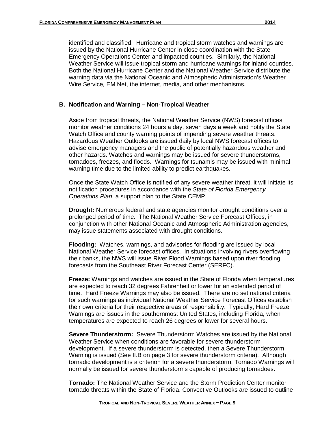identified and classified. Hurricane and tropical storm watches and warnings are issued by the National Hurricane Center in close coordination with the State Emergency Operations Center and impacted counties. Similarly, the National Weather Service will issue tropical storm and hurricane warnings for inland counties. Both the National Hurricane Center and the National Weather Service distribute the warning data via the National Oceanic and Atmospheric Administration's Weather Wire Service*,* EM Net, the internet, media, and other mechanisms.

#### **B. Notification and Warning – Non-Tropical Weather**

Aside from tropical threats, the National Weather Service (NWS) forecast offices monitor weather conditions 24 hours a day, seven days a week and notify the State Watch Office and county warning points of impending severe weather threats. Hazardous Weather Outlooks are issued daily by local NWS forecast offices to advise emergency managers and the public of potentially hazardous weather and other hazards. Watches and warnings may be issued for severe thunderstorms, tornadoes, freezes, and floods. Warnings for tsunamis may be issued with minimal warning time due to the limited ability to predict earthquakes.

Once the State Watch Office is notified of any severe weather threat, it will initiate its notification procedures in accordance with the *State of Florida Emergency Operations Plan*, a support plan to the State CEMP.

**Drought:** Numerous federal and state agencies monitor drought conditions over a prolonged period of time. The National Weather Service Forecast Offices, in conjunction with other National Oceanic and Atmospheric Administration agencies, may issue statements associated with drought conditions.

**Flooding:** Watches, warnings, and advisories for flooding are issued by local National Weather Service forecast offices. In situations involving rivers overflowing their banks, the NWS will issue River Flood Warnings based upon river flooding forecasts from the Southeast River Forecast Center (SERFC).

**Freeze:** Warnings and watches are issued in the State of Florida when temperatures are expected to reach 32 degrees Fahrenheit or lower for an extended period of time. Hard Freeze Warnings may also be issued. There are no set national criteria for such warnings as individual National Weather Service Forecast Offices establish their own criteria for their respective areas of responsibility. Typically, Hard Freeze Warnings are issues in the southernmost United States, including Florida, when temperatures are expected to reach 26 degrees or lower for several hours.

**Severe Thunderstorm:** Severe Thunderstorm Watches are issued by the National Weather Service when conditions are favorable for severe thunderstorm development. If a severe thunderstorm is detected, then a Severe Thunderstorm Warning is issued (See II.B on page 3 for severe thunderstorm criteria). Although tornadic development is a criterion for a severe thunderstorm, Tornado Warnings will normally be issued for severe thunderstorms capable of producing tornadoes.

**Tornado:** The National Weather Service and the Storm Prediction Center monitor tornado threats within the State of Florida. Convective Outlooks are issued to outline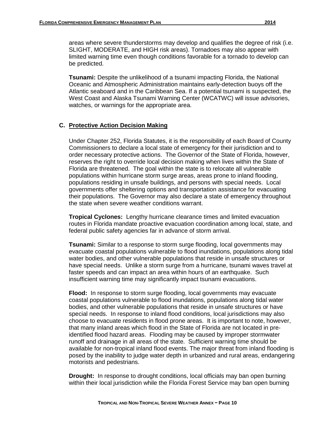areas where severe thunderstorms may develop and qualifies the degree of risk (i.e. SLIGHT, MODERATE, and HIGH risk areas). Tornadoes may also appear with limited warning time even though conditions favorable for a tornado to develop can be predicted.

**Tsunami:** Despite the unlikelihood of a tsunami impacting Florida, the National Oceanic and Atmospheric Administration maintains early-detection buoys off the Atlantic seaboard and in the Caribbean Sea. If a potential tsunami is suspected, the West Coast and Alaska Tsunami Warning Center (WCATWC) will issue advisories, watches, or warnings for the appropriate area.

# **C. Protective Action Decision Making**

Under Chapter 252, Florida Statutes, it is the responsibility of each Board of County Commissioners to declare a local state of emergency for their jurisdiction and to order necessary protective actions. The Governor of the State of Florida, however, reserves the right to override local decision making when lives within the State of Florida are threatened. The goal within the state is to relocate all vulnerable populations within hurricane storm surge areas, areas prone to inland flooding, populations residing in unsafe buildings, and persons with special needs. Local governments offer sheltering options and transportation assistance for evacuating their populations. The Governor may also declare a state of emergency throughout the state when severe weather conditions warrant.

**Tropical Cyclones:** Lengthy hurricane clearance times and limited evacuation routes in Florida mandate proactive evacuation coordination among local, state, and federal public safety agencies far in advance of storm arrival.

**Tsunami:** Similar to a response to storm surge flooding, local governments may evacuate coastal populations vulnerable to flood inundations, populations along tidal water bodies, and other vulnerable populations that reside in unsafe structures or have special needs. Unlike a storm surge from a hurricane, tsunami waves travel at faster speeds and can impact an area within hours of an earthquake. Such insufficient warning time may significantly impact tsunami evacuations.

**Flood:** In response to storm surge flooding, local governments may evacuate coastal populations vulnerable to flood inundations, populations along tidal water bodies, and other vulnerable populations that reside in unsafe structures or have special needs. In response to inland flood conditions, local jurisdictions may also choose to evacuate residents in flood prone areas. It is important to note, however, that many inland areas which flood in the State of Florida are not located in preidentified flood hazard areas. Flooding may be caused by improper stormwater runoff and drainage in all areas of the state. Sufficient warning time should be available for non-tropical inland flood events. The major threat from inland flooding is posed by the inability to judge water depth in urbanized and rural areas, endangering motorists and pedestrians.

**Drought:** In response to drought conditions, local officials may ban open burning within their local jurisdiction while the Florida Forest Service may ban open burning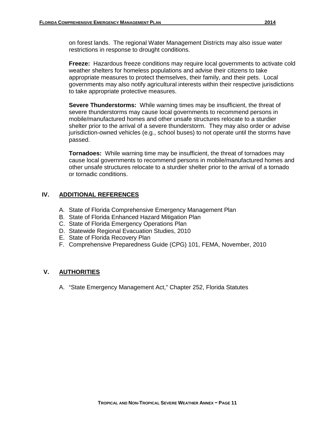on forest lands. The regional Water Management Districts may also issue water restrictions in response to drought conditions.

**Freeze:** Hazardous freeze conditions may require local governments to activate cold weather shelters for homeless populations and advise their citizens to take appropriate measures to protect themselves, their family, and their pets. Local governments may also notify agricultural interests within their respective jurisdictions to take appropriate protective measures.

**Severe Thunderstorms:** While warning times may be insufficient, the threat of severe thunderstorms may cause local governments to recommend persons in mobile/manufactured homes and other unsafe structures relocate to a sturdier shelter prior to the arrival of a severe thunderstorm. They may also order or advise jurisdiction-owned vehicles (e.g., school buses) to not operate until the storms have passed.

**Tornadoes:** While warning time may be insufficient, the threat of tornadoes may cause local governments to recommend persons in mobile/manufactured homes and other unsafe structures relocate to a sturdier shelter prior to the arrival of a tornado or tornadic conditions.

# **IV. ADDITIONAL REFERENCES**

- A. State of Florida Comprehensive Emergency Management Plan
- B. State of Florida Enhanced Hazard Mitigation Plan
- C. State of Florida Emergency Operations Plan
- D. Statewide Regional Evacuation Studies, 2010
- E. State of Florida Recovery Plan
- F. Comprehensive Preparedness Guide (CPG) 101, FEMA, November, 2010

#### **V. AUTHORITIES**

A. "State Emergency Management Act," Chapter 252, Florida Statutes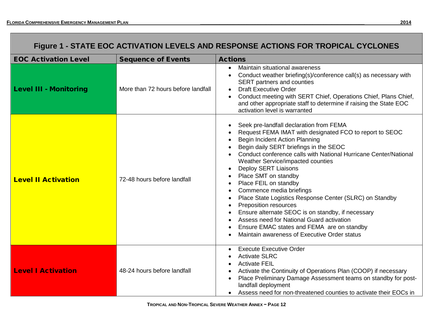| Figure 1 - STATE EOC ACTIVATION LEVELS AND RESPONSE ACTIONS FOR TROPICAL CYCLONES |                                    |                                                                                                                                                                                                                                                                                                                                                                                                                                                                                                                                                                                                                                                                                                       |  |  |  |  |
|-----------------------------------------------------------------------------------|------------------------------------|-------------------------------------------------------------------------------------------------------------------------------------------------------------------------------------------------------------------------------------------------------------------------------------------------------------------------------------------------------------------------------------------------------------------------------------------------------------------------------------------------------------------------------------------------------------------------------------------------------------------------------------------------------------------------------------------------------|--|--|--|--|
| <b>EOC Activation Level</b>                                                       | <b>Sequence of Events</b>          | <b>Actions</b>                                                                                                                                                                                                                                                                                                                                                                                                                                                                                                                                                                                                                                                                                        |  |  |  |  |
| <b>Level III - Monitoring</b>                                                     | More than 72 hours before landfall | Maintain situational awareness<br>$\bullet$<br>Conduct weather briefing(s)/conference call(s) as necessary with<br>SERT partners and counties<br><b>Draft Executive Order</b><br>$\bullet$<br>Conduct meeting with SERT Chief, Operations Chief, Plans Chief,<br>and other appropriate staff to determine if raising the State EOC<br>activation level is warranted                                                                                                                                                                                                                                                                                                                                   |  |  |  |  |
| <b>Level II Activation</b>                                                        | 72-48 hours before landfall        | Seek pre-landfall declaration from FEMA<br>Request FEMA IMAT with designated FCO to report to SEOC<br><b>Begin Incident Action Planning</b><br>Begin daily SERT briefings in the SEOC<br>Conduct conference calls with National Hurricane Center/National<br>Weather Service/impacted counties<br><b>Deploy SERT Liaisons</b><br>Place SMT on standby<br>Place FEIL on standby<br>Commence media briefings<br>Place State Logistics Response Center (SLRC) on Standby<br><b>Preposition resources</b><br>Ensure alternate SEOC is on standby, if necessary<br>Assess need for National Guard activation<br>Ensure EMAC states and FEMA are on standby<br>Maintain awareness of Executive Order status |  |  |  |  |
| <b>Level I Activation</b>                                                         | 48-24 hours before landfall        | <b>Execute Executive Order</b><br><b>Activate SLRC</b><br><b>Activate FEIL</b><br>Activate the Continuity of Operations Plan (COOP) if necessary<br>Place Preliminary Damage Assessment teams on standby for post-<br>landfall deployment<br>• Assess need for non-threatened counties to activate their EOCs in                                                                                                                                                                                                                                                                                                                                                                                      |  |  |  |  |